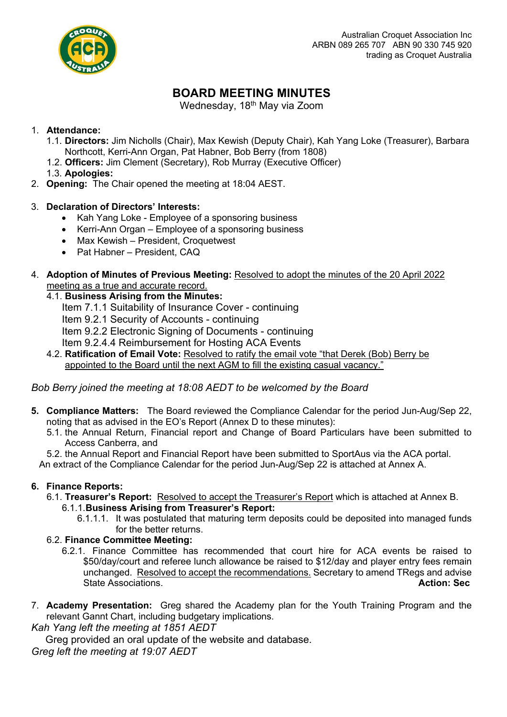

# **BOARD MEETING MINUTES**

Wednesday, 18<sup>th</sup> May via Zoom

# 1. **Attendance:**

- 1.1. **Directors:** Jim Nicholls (Chair), Max Kewish (Deputy Chair), Kah Yang Loke (Treasurer), Barbara Northcott, Kerri-Ann Organ, Pat Habner, Bob Berry (from 1808)
- 1.2. **Officers:** Jim Clement (Secretary), Rob Murray (Executive Officer)
- 1.3. **Apologies:**
- 2. **Opening:** The Chair opened the meeting at 18:04 AEST.

# 3. **Declaration of Directors' Interests:**

- Kah Yang Loke Employee of a sponsoring business
- Kerri-Ann Organ Employee of a sponsoring business
- Max Kewish President, Croquetwest
- Pat Habner President, CAQ
- 4. **Adoption of Minutes of Previous Meeting:** Resolved to adopt the minutes of the 20 April 2022 meeting as a true and accurate record.
	- 4.1. **Business Arising from the Minutes:**
		- Item 7.1.1 Suitability of Insurance Cover continuing
		- Item 9.2.1 Security of Accounts continuing
		- Item 9.2.2 Electronic Signing of Documents continuing
		- Item 9.2.4.4 Reimbursement for Hosting ACA Events
	- 4.2. **Ratification of Email Vote:** Resolved to ratify the email vote "that Derek (Bob) Berry be appointed to the Board until the next AGM to fill the existing casual vacancy."

# *Bob Berry joined the meeting at 18:08 AEDT to be welcomed by the Board*

- **5. Compliance Matters:** The Board reviewed the Compliance Calendar for the period Jun-Aug/Sep 22, noting that as advised in the EO's Report (Annex D to these minutes):
	- 5.1. the Annual Return, Financial report and Change of Board Particulars have been submitted to Access Canberra, and

5.2. the Annual Report and Financial Report have been submitted to SportAus via the ACA portal.

An extract of the Compliance Calendar for the period Jun-Aug/Sep 22 is attached at Annex A.

# **6. Finance Reports:**

- 6.1. **Treasurer's Report:** Resolved to accept the Treasurer's Report which is attached at Annex B. 6.1.1.**Business Arising from Treasurer's Report:**
	- 6.1.1.1. It was postulated that maturing term deposits could be deposited into managed funds for the better returns.
- 6.2. **Finance Committee Meeting:**
	- 6.2.1. Finance Committee has recommended that court hire for ACA events be raised to \$50/day/court and referee lunch allowance be raised to \$12/day and player entry fees remain unchanged. Resolved to accept the recommendations. Secretary to amend TRegs and advise State Associations. **Action: Sec**
- 7. **Academy Presentation:** Greg shared the Academy plan for the Youth Training Program and the relevant Gannt Chart, including budgetary implications.

*Kah Yang left the meeting at 1851 AEDT*

Greg provided an oral update of the website and database.

*Greg left the meeting at 19:07 AEDT*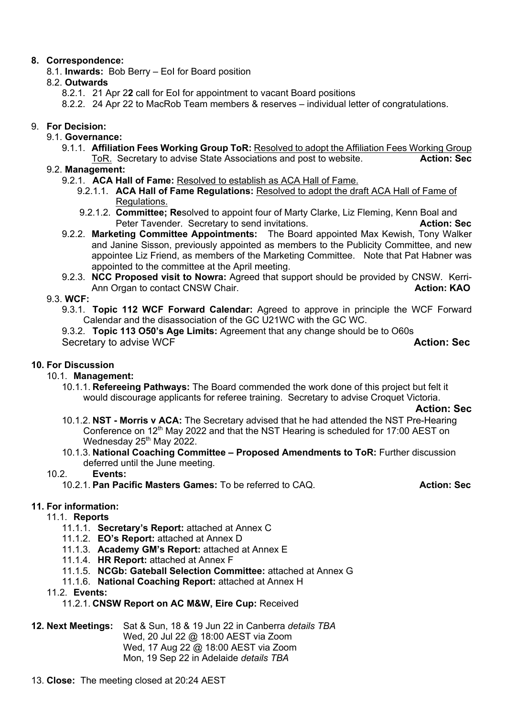# **8. Correspondence:**

8.1. **Inwards:** Bob Berry – EoI for Board position

# 8.2. **Outwards**

- 8.2.1. 21 Apr 2**2** call for EoI for appointment to vacant Board positions
- 8.2.2. 24 Apr 22 to MacRob Team members & reserves individual letter of congratulations.

# 9. **For Decision:**

- 9.1. **Governance:**
	- 9.1.1. **Affiliation Fees Working Group ToR:** Resolved to adopt the Affiliation Fees Working Group ToR. Secretary to advise State Associations and post to website. **Action: Sec**

### 9.2. **Management:**

- 9.2.1. **ACA Hall of Fame:** Resolved to establish as ACA Hall of Fame.
	- 9.2.1.1. **ACA Hall of Fame Regulations:** Resolved to adopt the draft ACA Hall of Fame of Regulations.
	- 9.2.1.2. **Committee; Re**solved to appoint four of Marty Clarke, Liz Fleming, Kenn Boal and Peter Tavender. Secretary to send invitations. **Action: Sec**
- 9.2.2. **Marketing Committee Appointments:** The Board appointed Max Kewish, Tony Walker and Janine Sisson, previously appointed as members to the Publicity Committee, and new appointee Liz Friend, as members of the Marketing Committee. Note that Pat Habner was appointed to the committee at the April meeting.
- 9.2.3. **NCC Proposed visit to Nowra:** Agreed that support should be provided by CNSW. Kerri-Ann Organ to contact CNSW Chair. **Action: KAO**

#### 9.3. **WCF:**

9.3.1. **Topic 112 WCF Forward Calendar:** Agreed to approve in principle the WCF Forward Calendar and the disassociation of the GC U21WC with the GC WC.

9.3.2. **Topic 113 O50's Age Limits:** Agreement that any change should be to O60s **Secretary to advise WCF Action: Sec Action: Sec** 

# **10. For Discussion**

# 10.1. **Management:**

10.1.1. **Refereeing Pathways:** The Board commended the work done of this project but felt it would discourage applicants for referee training. Secretary to advise Croquet Victoria.

#### **Action: Sec**

- 10.1.2. **NST - Morris v ACA:** The Secretary advised that he had attended the NST Pre-Hearing Conference on 12<sup>th</sup> May 2022 and that the NST Hearing is scheduled for 17:00 AEST on Wednesday 25<sup>th</sup> May 2022.
- 10.1.3. **National Coaching Committee – Proposed Amendments to ToR:** Further discussion deferred until the June meeting.

#### 10.2. **Events:**

10.2.1. **Pan Pacific Masters Games:** To be referred to CAQ. **Action: Sec**

# **11. For information:**

# 11.1. **Reports**

- 11.1.1. **Secretary's Report:** attached at Annex C
- 11.1.2. **EO's Report:** attached at Annex D
- 11.1.3. **Academy GM's Report:** attached at Annex E
- 11.1.4. **HR Report:** attached at Annex F
- 11.1.5. **NCGb: Gateball Selection Committee:** attached at Annex G
- 11.1.6. **National Coaching Report:** attached at Annex H
- 11.2. **Events:**

#### 11.2.1. **CNSW Report on AC M&W, Eire Cup:** Received

**12. Next Meetings:** Sat & Sun, 18 & 19 Jun 22 in Canberra *details TBA* Wed, 20 Jul 22 @ 18:00 AEST via Zoom Wed, 17 Aug 22 @ 18:00 AEST via Zoom Mon, 19 Sep 22 in Adelaide *details TBA*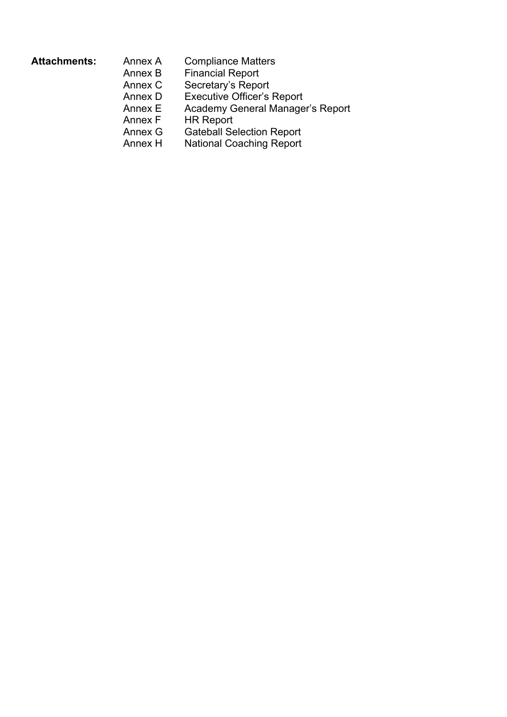- Attachments: Annex A Compliance Matters Annex B Financial Report
	- Annex C Secretary's Report
		-
		- Annex D Executive Officer's Report<br>Annex E Academy General Manage Annex E Academy General Manager's Report<br>Annex F HR Report
		- HR Report
		- Annex G Gateball Selection Report
		- Annex H National Coaching Report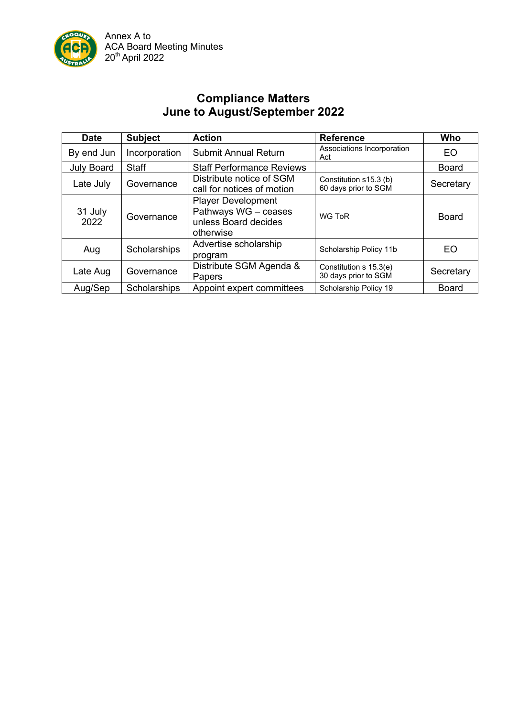

# **Compliance Matters June to August/September 2022**

| <b>Date</b>       | <b>Subject</b> | <b>Action</b>                                                                          | <b>Reference</b>                               | Who          |
|-------------------|----------------|----------------------------------------------------------------------------------------|------------------------------------------------|--------------|
| By end Jun        | Incorporation  | <b>Submit Annual Return</b>                                                            | Associations Incorporation<br>Act              | EO           |
| <b>July Board</b> | <b>Staff</b>   | <b>Staff Performance Reviews</b>                                                       |                                                | <b>Board</b> |
| Late July         | Governance     | Distribute notice of SGM<br>call for notices of motion                                 | Constitution s15.3 (b)<br>60 days prior to SGM | Secretary    |
| 31 July<br>2022   | Governance     | <b>Player Development</b><br>Pathways WG - ceases<br>unless Board decides<br>otherwise | WG ToR                                         | <b>Board</b> |
| Aug               | Scholarships   | Advertise scholarship<br>program                                                       | Scholarship Policy 11b                         | EO           |
| Late Aug          | Governance     | Distribute SGM Agenda &<br>Papers                                                      | Constitution s 15.3(e)<br>30 days prior to SGM | Secretary    |
| Aug/Sep           | Scholarships   | Appoint expert committees                                                              | Scholarship Policy 19                          | <b>Board</b> |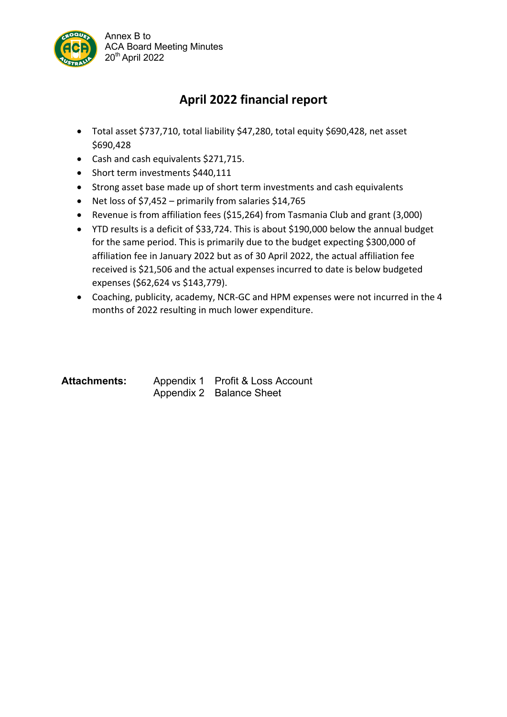

# **April 2022 financial report**

- Total asset \$737,710, total liability \$47,280, total equity \$690,428, net asset \$690,428
- Cash and cash equivalents \$271,715.
- Short term investments \$440,111
- Strong asset base made up of short term investments and cash equivalents
- Net loss of \$7,452 primarily from salaries \$14,765
- Revenue is from affiliation fees (\$15,264) from Tasmania Club and grant (3,000)
- YTD results is a deficit of \$33,724. This is about \$190,000 below the annual budget for the same period. This is primarily due to the budget expecting \$300,000 of affiliation fee in January 2022 but as of 30 April 2022, the actual affiliation fee received is \$21,506 and the actual expenses incurred to date is below budgeted expenses (\$62,624 vs \$143,779).
- Coaching, publicity, academy, NCR-GC and HPM expenses were not incurred in the 4 months of 2022 resulting in much lower expenditure.

| <b>Attachments:</b> | Appendix 1 Profit & Loss Account |
|---------------------|----------------------------------|
|                     | Appendix 2 Balance Sheet         |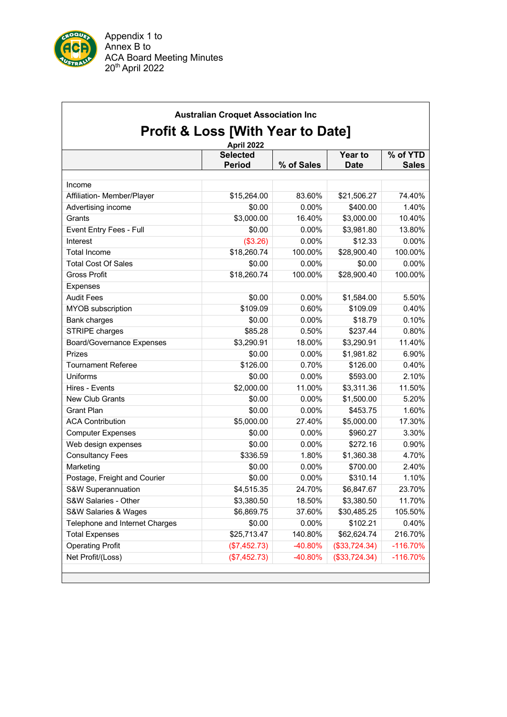

|                                  | April 2022                       |            |                               |                          |
|----------------------------------|----------------------------------|------------|-------------------------------|--------------------------|
|                                  | <b>Selected</b><br><b>Period</b> | % of Sales | <b>Year to</b><br><b>Date</b> | % of YTD<br><b>Sales</b> |
|                                  |                                  |            |                               |                          |
| Income                           |                                  |            |                               |                          |
| Affiliation- Member/Player       | \$15,264.00                      | 83.60%     | \$21,506.27                   | 74.40%                   |
| Advertising income               | \$0.00                           | 0.00%      | \$400.00                      | 1.40%                    |
| Grants                           | \$3,000.00                       | 16.40%     | \$3,000.00                    | 10.40%                   |
| Event Entry Fees - Full          | \$0.00                           | 0.00%      | \$3,981.80                    | 13.80%                   |
| Interest                         | (\$3.26)                         | 0.00%      | \$12.33                       | 0.00%                    |
| <b>Total Income</b>              | \$18,260.74                      | 100.00%    | \$28,900.40                   | 100.00%                  |
| <b>Total Cost Of Sales</b>       | \$0.00                           | 0.00%      | \$0.00                        | 0.00%                    |
| <b>Gross Profit</b>              | \$18,260.74                      | 100.00%    | \$28,900.40                   | 100.00%                  |
| <b>Expenses</b>                  |                                  |            |                               |                          |
| <b>Audit Fees</b>                | \$0.00                           | 0.00%      | \$1,584.00                    | 5.50%                    |
| MYOB subscription                | \$109.09                         | 0.60%      | \$109.09                      | 0.40%                    |
| Bank charges                     | \$0.00                           | 0.00%      | \$18.79                       | 0.10%                    |
| STRIPE charges                   | \$85.28                          | 0.50%      | \$237.44                      | 0.80%                    |
| <b>Board/Governance Expenses</b> | \$3,290.91                       | 18.00%     | \$3,290.91                    | 11.40%                   |
| Prizes                           | \$0.00                           | 0.00%      | \$1,981.82                    | 6.90%                    |
| <b>Tournament Referee</b>        | \$126.00                         | 0.70%      | \$126.00                      | 0.40%                    |
| Uniforms                         | \$0.00                           | 0.00%      | \$593.00                      | 2.10%                    |
| Hires - Events                   | \$2,000.00                       | 11.00%     | \$3,311.36                    | 11.50%                   |
| New Club Grants                  | \$0.00                           | 0.00%      | \$1,500.00                    | 5.20%                    |
| <b>Grant Plan</b>                | \$0.00                           | 0.00%      | \$453.75                      | 1.60%                    |
| <b>ACA Contribution</b>          | \$5,000.00                       | 27.40%     | \$5,000.00                    | 17.30%                   |
| <b>Computer Expenses</b>         | \$0.00                           | 0.00%      | \$960.27                      | 3.30%                    |
| Web design expenses              | \$0.00                           | 0.00%      | \$272.16                      | 0.90%                    |
| <b>Consultancy Fees</b>          | \$336.59                         | 1.80%      | \$1,360.38                    | 4.70%                    |
| Marketing                        | \$0.00                           | 0.00%      | \$700.00                      | 2.40%                    |
| Postage, Freight and Courier     | \$0.00                           | 0.00%      | \$310.14                      | 1.10%                    |
| S&W Superannuation               | \$4,515.35                       | 24.70%     | \$6,847.67                    | 23.70%                   |
| S&W Salaries - Other             | \$3,380.50                       | 18.50%     | \$3,380.50                    | 11.70%                   |
| S&W Salaries & Wages             | \$6,869.75                       | 37.60%     | \$30,485.25                   | 105.50%                  |
| Telephone and Internet Charges   | \$0.00                           | 0.00%      | \$102.21                      | 0.40%                    |
| <b>Total Expenses</b>            | \$25,713.47                      | 140.80%    | \$62,624.74                   | 216.70%                  |
| <b>Operating Profit</b>          | (\$7,452.73)                     | -40.80%    | (\$33,724.34)                 | $-116.70%$               |
| Net Profit/(Loss)                | (\$7,452.73)                     | -40.80%    | (\$33,724.34)                 | $-116.70%$               |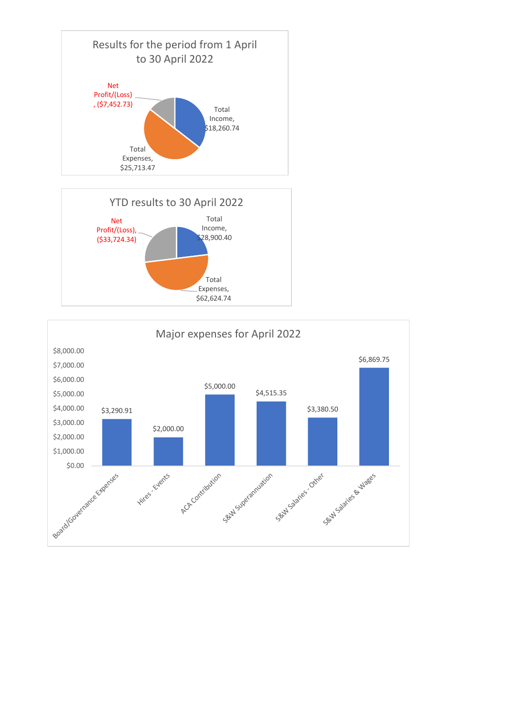



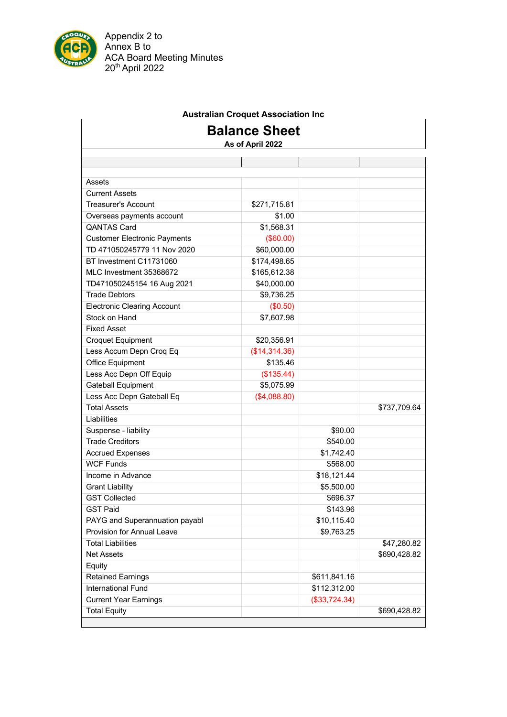

Appendix 2 to Annex B to ACA Board Meeting Minutes 20<sup>th</sup> April 2022

# **Australian Croquet Association Inc**

# **Balance Sheet**

**As of April 2022**

| Assets                              |               |               |              |
|-------------------------------------|---------------|---------------|--------------|
| <b>Current Assets</b>               |               |               |              |
| <b>Treasurer's Account</b>          | \$271,715.81  |               |              |
| Overseas payments account           | \$1.00        |               |              |
| <b>QANTAS Card</b>                  | \$1,568.31    |               |              |
| <b>Customer Electronic Payments</b> | (\$60.00)     |               |              |
| TD 471050245779 11 Nov 2020         | \$60,000.00   |               |              |
| BT Investment C11731060             | \$174,498.65  |               |              |
| MLC Investment 35368672             | \$165,612.38  |               |              |
| TD471050245154 16 Aug 2021          | \$40,000.00   |               |              |
| <b>Trade Debtors</b>                | \$9,736.25    |               |              |
| <b>Electronic Clearing Account</b>  | (\$0.50)      |               |              |
| Stock on Hand                       | \$7,607.98    |               |              |
| <b>Fixed Asset</b>                  |               |               |              |
| <b>Croquet Equipment</b>            | \$20,356.91   |               |              |
| Less Accum Depn Croq Eq             | (\$14,314.36) |               |              |
| Office Equipment                    | \$135.46      |               |              |
| Less Acc Depn Off Equip             | (\$135.44)    |               |              |
| <b>Gateball Equipment</b>           | \$5,075.99    |               |              |
| Less Acc Depn Gateball Eq           | (\$4,088.80)  |               |              |
| <b>Total Assets</b>                 |               |               | \$737,709.64 |
| Liabilities                         |               |               |              |
| Suspense - liability                |               | \$90.00       |              |
| <b>Trade Creditors</b>              |               | \$540.00      |              |
| <b>Accrued Expenses</b>             |               | \$1,742.40    |              |
| <b>WCF Funds</b>                    |               | \$568.00      |              |
| Income in Advance                   |               | \$18,121.44   |              |
| <b>Grant Liability</b>              |               | \$5,500.00    |              |
| <b>GST Collected</b>                |               | \$696.37      |              |
| <b>GST Paid</b>                     |               | \$143.96      |              |
| PAYG and Superannuation payabl      |               | \$10,115.40   |              |
| <b>Provision for Annual Leave</b>   |               | \$9,763.25    |              |
| <b>Total Liabilities</b>            |               |               | \$47,280.82  |
| <b>Net Assets</b>                   |               |               | \$690,428.82 |
| Equity                              |               |               |              |
| <b>Retained Earnings</b>            |               | \$611,841.16  |              |
| International Fund                  |               | \$112,312.00  |              |
| <b>Current Year Earnings</b>        |               | (\$33,724.34) |              |
| <b>Total Equity</b>                 |               |               | \$690,428.82 |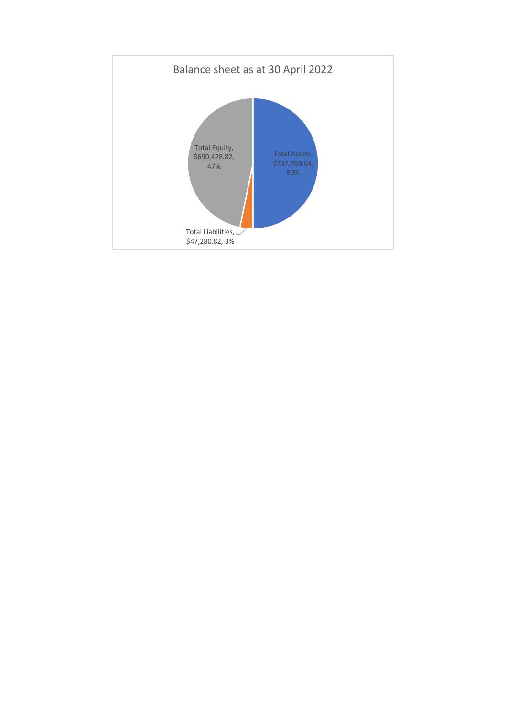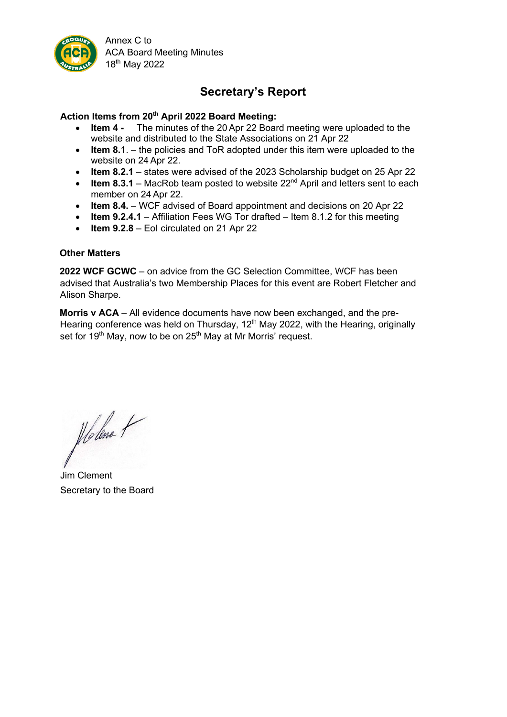

Annex C to ACA Board Meeting Minutes 18th May 2022

# **Secretary's Report**

#### **Action Items from 20th April 2022 Board Meeting:**

- **Item 4 -** The minutes of the 20 Apr 22 Board meeting were uploaded to the website and distributed to the State Associations on 21 Apr 22
- **Item 8.**1. the policies and ToR adopted under this item were uploaded to the website on 24 Apr 22.
- **Item 8.2.1** states were advised of the 2023 Scholarship budget on 25 Apr 22
- **Item 8.3.1** MacRob team posted to website  $22^{nd}$  April and letters sent to each member on 24 Apr 22.
- **Item 8.4.** WCF advised of Board appointment and decisions on 20 Apr 22
- **Item 9.2.4.1** Affiliation Fees WG Tor drafted Item 8.1.2 for this meeting
- **Item 9.2.8** EoI circulated on 21 Apr 22

#### **Other Matters**

**2022 WCF GCWC** – on advice from the GC Selection Committee, WCF has been advised that Australia's two Membership Places for this event are Robert Fletcher and Alison Sharpe.

**Morris v ACA** – All evidence documents have now been exchanged, and the pre-Hearing conference was held on Thursday, 12<sup>th</sup> May 2022, with the Hearing, originally set for 19<sup>th</sup> May, now to be on  $25<sup>th</sup>$  May at Mr Morris' request.

Holme +

Jim Clement Secretary to the Board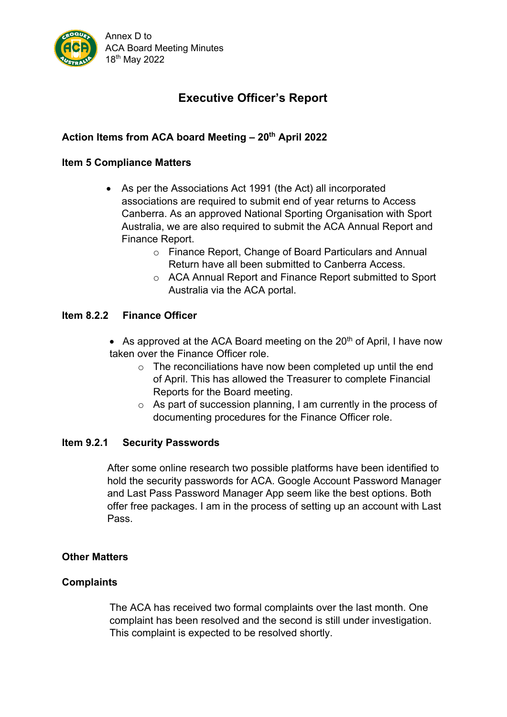

# **Executive Officer's Report**

# **Action Items from ACA board Meeting – 20th April 2022**

# **Item 5 Compliance Matters**

- As per the Associations Act 1991 (the Act) all incorporated associations are required to submit end of year returns to Access Canberra. As an approved National Sporting Organisation with Sport Australia, we are also required to submit the ACA Annual Report and Finance Report.
	- o Finance Report, Change of Board Particulars and Annual Return have all been submitted to Canberra Access.
	- o ACA Annual Report and Finance Report submitted to Sport Australia via the ACA portal.

# **Item 8.2.2 Finance Officer**

- As approved at the ACA Board meeting on the  $20<sup>th</sup>$  of April, I have now taken over the Finance Officer role.
	- $\circ$  The reconciliations have now been completed up until the end of April. This has allowed the Treasurer to complete Financial Reports for the Board meeting.
	- o As part of succession planning, I am currently in the process of documenting procedures for the Finance Officer role.

# **Item 9.2.1 Security Passwords**

After some online research two possible platforms have been identified to hold the security passwords for ACA. Google Account Password Manager and Last Pass Password Manager App seem like the best options. Both offer free packages. I am in the process of setting up an account with Last Pass.

# **Other Matters**

# **Complaints**

The ACA has received two formal complaints over the last month. One complaint has been resolved and the second is still under investigation. This complaint is expected to be resolved shortly.